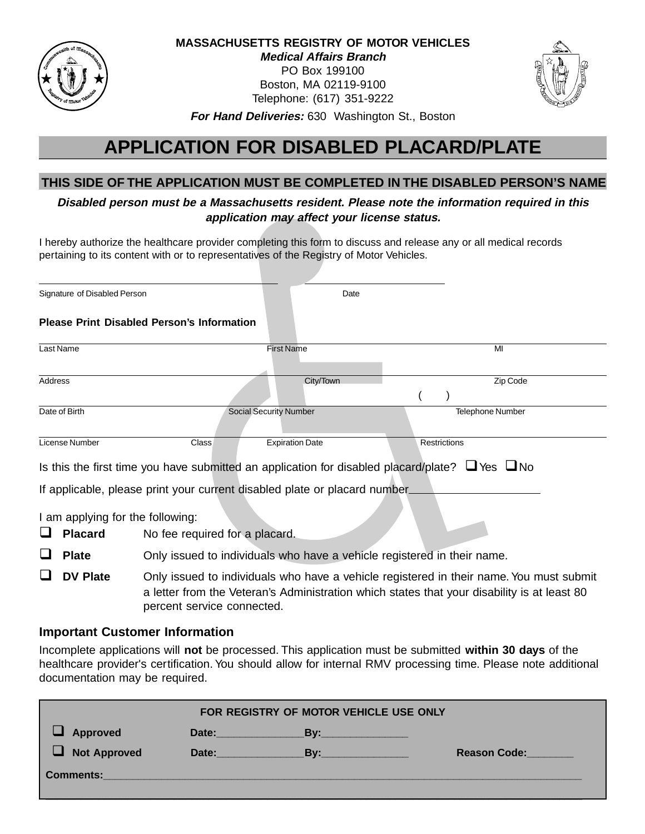

### **MASSACHUSETTS REGISTRY OF MOTOR VEHICLES Medical Affairs Branch** PO Box 199100 Boston, MA 02119-9100 Telephone: (617) 351-9222



**For Hand Deliveries:** 630 Washington St., Boston

## **APPLICATION FOR DISABLED PLACARD/PLATE**

## **THIS SIDE OF THE APPLICATION MUST BE COMPLETED IN THE DISABLED PERSON'S NAME**

**Disabled person must be a Massachusetts resident. Please note the information required in this application may affect your license status.**

I hereby authorize the healthcare provider completing this form to discuss and release any or all medical records pertaining to its content with or to representatives of the Registry of Motor Vehicles.

| Signature of Disabled Person                      |       | Date                                                                                 |                         |  |
|---------------------------------------------------|-------|--------------------------------------------------------------------------------------|-------------------------|--|
| <b>Please Print Disabled Person's Information</b> |       |                                                                                      |                         |  |
| Last Name                                         |       | <b>First Name</b>                                                                    | MI                      |  |
| Address                                           |       | City/Town                                                                            | Zip Code                |  |
| Date of Birth                                     |       | <b>Social Security Number</b>                                                        | <b>Telephone Number</b> |  |
| License Number                                    | Class | <b>Expiration Date</b>                                                               | <b>Restrictions</b>     |  |
|                                                   |       | Is this the first time you have submitted an application for disabled placard/plate? | $\Box$ Yes $\Box$ No    |  |
|                                                   |       | If applicable, please print your current disabled plate or placard number.           |                         |  |

I am applying for the following:

- **Q** Placard No fee required for a placard.
- **Q** Plate Only issued to individuals who have a vehicle registered in their name.
- **DV Plate** Only issued to individuals who have a vehicle registered in their name. You must submit a letter from the Veteran's Administration which states that your disability is at least 80 percent service connected.

## **Important Customer Information**

Incomplete applications will **not** be processed. This application must be submitted **within 30 days** of the healthcare provider's certification. You should allow for internal RMV processing time. Please note additional documentation may be required.

| FOR REGISTRY OF MOTOR VEHICLE USE ONLY |       |               |                     |  |
|----------------------------------------|-------|---------------|---------------------|--|
| <b>Approved</b>                        |       | Date: By: By: |                     |  |
| <b>Not Approved</b>                    | Date: | By:           | <b>Reason Code:</b> |  |
| <b>Comments:</b>                       |       |               |                     |  |
|                                        |       |               |                     |  |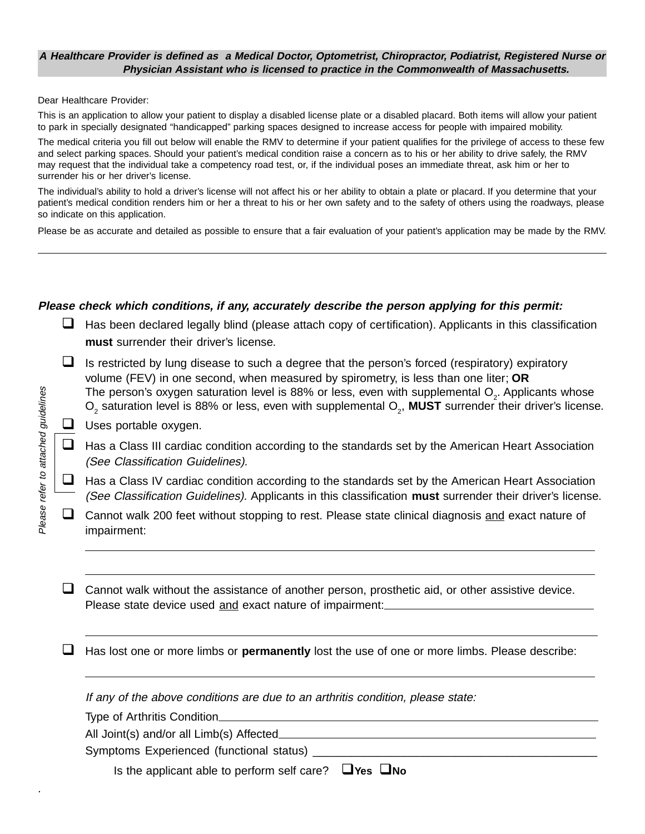#### **A Healthcare Provider is defined as a Medical Doctor, Optometrist, Chiropractor, Podiatrist, Registered Nurse or Physician Assistant who is licensed to practice in the Commonwealth of Massachusetts.**

Dear Healthcare Provider:

This is an application to allow your patient to display a disabled license plate or a disabled placard. Both items will allow your patient to park in specially designated "handicapped" parking spaces designed to increase access for people with impaired mobility.

The medical criteria you fill out below will enable the RMV to determine if your patient qualifies for the privilege of access to these few and select parking spaces. Should your patient's medical condition raise a concern as to his or her ability to drive safely, the RMV may request that the individual take a competency road test, or, if the individual poses an immediate threat, ask him or her to surrender his or her driver's license.

The individual's ability to hold a driver's license will not affect his or her ability to obtain a plate or placard. If you determine that your patient's medical condition renders him or her a threat to his or her own safety and to the safety of others using the roadways, please so indicate on this application.

Please be as accurate and detailed as possible to ensure that a fair evaluation of your patient's application may be made by the RMV.

#### **Please check which conditions, if any, accurately describe the person applying for this permit:**

- $\Box$  Has been declared legally blind (please attach copy of certification). Applicants in this classification **must** surrender their driver's license.
- $\Box$  Is restricted by lung disease to such a degree that the person's forced (respiratory) expiratory volume (FEV) in one second, when measured by spirometry, is less than one liter; **OR** The person's oxygen saturation level is 88% or less, even with supplemental O<sub>2</sub>. Applicants whose  $\textsf{O}_2$  saturation level is 88% or less, even with supplemental  $\textsf{O}_2$ , **MUST** surrender their driver's license.
- $\Box$  Uses portable oxygen.

. Please refer to attached guidelines

Please refer to attached guidelines

- $\Box$  Has a Class III cardiac condition according to the standards set by the American Heart Association (See Classification Guidelines).
- $\Box$  Has a Class IV cardiac condition according to the standards set by the American Heart Association (See Classification Guidelines). Applicants in this classification **must** surrender their driver's license.
- $\Box$  Cannot walk 200 feet without stopping to rest. Please state clinical diagnosis and exact nature of impairment:

 $\Box$  Cannot walk without the assistance of another person, prosthetic aid, or other assistive device. Please state device used and exact nature of impairment:

**Q** Has lost one or more limbs or **permanently** lost the use of one or more limbs. Please describe:

If any of the above conditions are due to an arthritis condition, please state:

Type of Arthritis Condition

All Joint(s) and/or all Limb(s) Affected

Symptoms Experienced (functional status) \_\_\_\_\_\_\_\_\_\_\_\_\_\_\_\_\_\_\_\_\_\_\_\_\_\_\_\_\_\_\_\_\_\_\_\_\_\_\_\_\_\_\_\_

Is the applicant able to perform self care? q**Yes** q**No**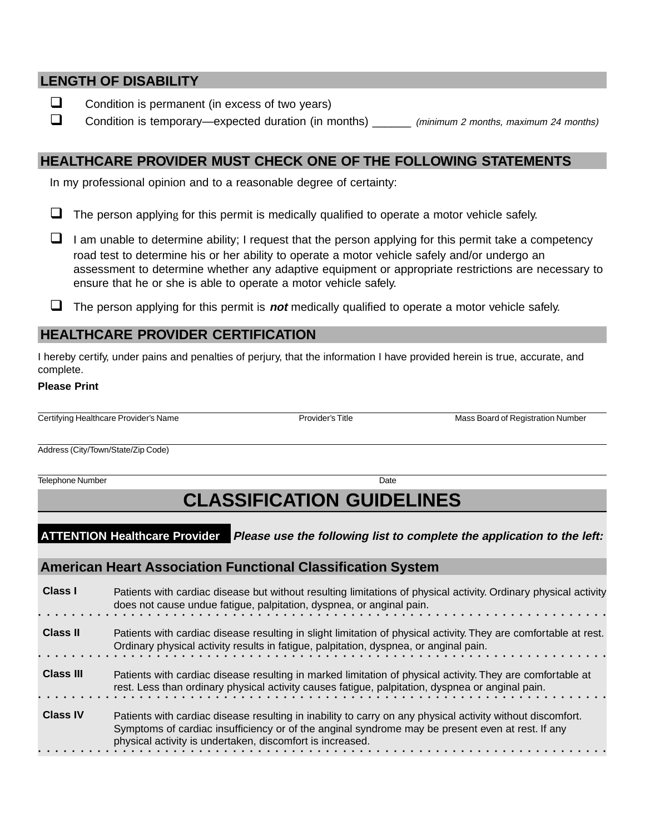#### **LENGTH OF DISABILITY**

- $\Box$  Condition is permanent (in excess of two years)
- □ Condition is temporary—expected duration (in months) \_\_\_\_\_\_ (minimum 2 months, maximum 24 months)

#### **HEALTHCARE PROVIDER MUST CHECK ONE OF THE FOLLOWING STATEMENTS**

In my professional opinion and to a reasonable degree of certainty:

- $\Box$  The person applying for this permit is medically qualified to operate a motor vehicle safely.
- $\Box$  I am unable to determine ability; I request that the person applying for this permit take a competency road test to determine his or her ability to operate a motor vehicle safely and/or undergo an assessment to determine whether any adaptive equipment or appropriate restrictions are necessary to ensure that he or she is able to operate a motor vehicle safely.
- $\Box$  The person applying for this permit is **not** medically qualified to operate a motor vehicle safely.

#### **HEALTHCARE PROVIDER CERTIFICATION**

I hereby certify, under pains and penalties of perjury, that the information I have provided herein is true, accurate, and complete.

#### **Please Print**

Certifying Healthcare Provider's Name **Provider's Title** Provider's Title Mass Board of Registration Number

Address (City/Town/State/Zip Code)

**Telephone Number Date** 

# **CLASSIFICATION GUIDELINES**

**ATTENTION Healthcare Provider Please use the following list to complete the application to the left:**

#### **American Heart Association Functional Classification System**

| Class I          | Patients with cardiac disease but without resulting limitations of physical activity. Ordinary physical activity<br>does not cause undue fatigue, palpitation, dyspnea, or anginal pain.                                                                                    |
|------------------|-----------------------------------------------------------------------------------------------------------------------------------------------------------------------------------------------------------------------------------------------------------------------------|
| <b>Class II</b>  | Patients with cardiac disease resulting in slight limitation of physical activity. They are comfortable at rest.<br>Ordinary physical activity results in fatigue, palpitation, dyspnea, or anginal pain.                                                                   |
| <b>Class III</b> | Patients with cardiac disease resulting in marked limitation of physical activity. They are comfortable at<br>rest. Less than ordinary physical activity causes fatigue, palpitation, dyspnea or anginal pain.                                                              |
| <b>Class IV</b>  | Patients with cardiac disease resulting in inability to carry on any physical activity without discomfort.<br>Symptoms of cardiac insufficiency or of the anginal syndrome may be present even at rest. If any<br>physical activity is undertaken, discomfort is increased. |